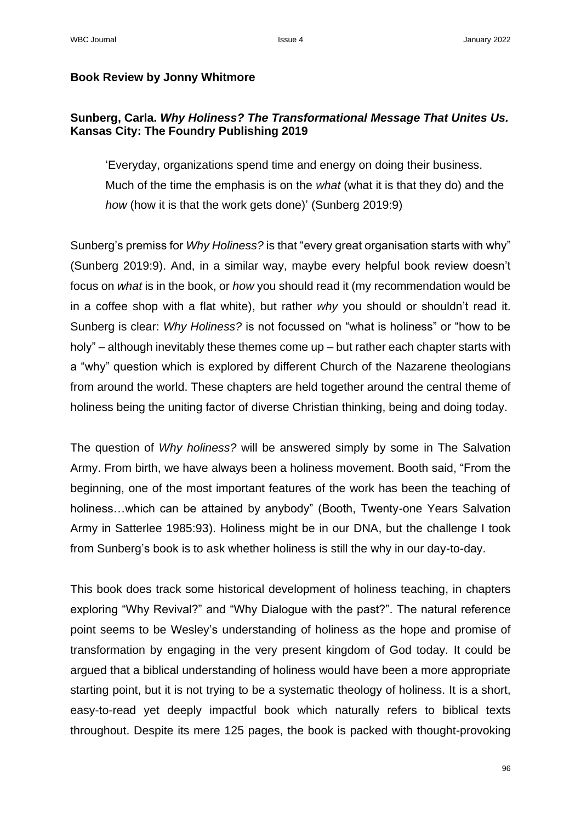## **Book Review by Jonny Whitmore**

## **Sunberg, Carla.** *Why Holiness? The Transformational Message That Unites Us.*  **Kansas City: The Foundry Publishing 2019**

'Everyday, organizations spend time and energy on doing their business. Much of the time the emphasis is on the *what* (what it is that they do) and the *how* (how it is that the work gets done)' (Sunberg 2019:9)

Sunberg's premiss for *Why Holiness?* is that "every great organisation starts with why" (Sunberg 2019:9). And, in a similar way, maybe every helpful book review doesn't focus on *what* is in the book, or *how* you should read it (my recommendation would be in a coffee shop with a flat white), but rather *why* you should or shouldn't read it. Sunberg is clear: *Why Holiness?* is not focussed on "what is holiness" or "how to be holy" – although inevitably these themes come up – but rather each chapter starts with a "why" question which is explored by different Church of the Nazarene theologians from around the world. These chapters are held together around the central theme of holiness being the uniting factor of diverse Christian thinking, being and doing today.

The question of *Why holiness?* will be answered simply by some in The Salvation Army. From birth, we have always been a holiness movement. Booth said, "From the beginning, one of the most important features of the work has been the teaching of holiness…which can be attained by anybody" (Booth, Twenty-one Years Salvation Army in Satterlee 1985:93). Holiness might be in our DNA, but the challenge I took from Sunberg's book is to ask whether holiness is still the why in our day-to-day.

This book does track some historical development of holiness teaching, in chapters exploring "Why Revival?" and "Why Dialogue with the past?". The natural reference point seems to be Wesley's understanding of holiness as the hope and promise of transformation by engaging in the very present kingdom of God today. It could be argued that a biblical understanding of holiness would have been a more appropriate starting point, but it is not trying to be a systematic theology of holiness. It is a short, easy-to-read yet deeply impactful book which naturally refers to biblical texts throughout. Despite its mere 125 pages, the book is packed with thought-provoking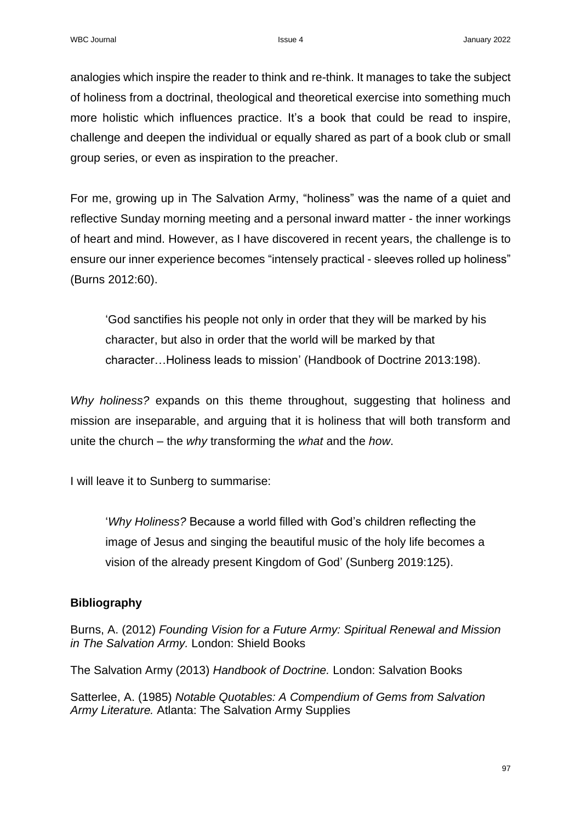analogies which inspire the reader to think and re-think. It manages to take the subject of holiness from a doctrinal, theological and theoretical exercise into something much more holistic which influences practice. It's a book that could be read to inspire, challenge and deepen the individual or equally shared as part of a book club or small group series, or even as inspiration to the preacher.

For me, growing up in The Salvation Army, "holiness" was the name of a quiet and reflective Sunday morning meeting and a personal inward matter - the inner workings of heart and mind. However, as I have discovered in recent years, the challenge is to ensure our inner experience becomes "intensely practical - sleeves rolled up holiness" (Burns 2012:60).

'God sanctifies his people not only in order that they will be marked by his character, but also in order that the world will be marked by that character…Holiness leads to mission' (Handbook of Doctrine 2013:198).

*Why holiness?* expands on this theme throughout, suggesting that holiness and mission are inseparable, and arguing that it is holiness that will both transform and unite the church – the *why* transforming the *what* and the *how*.

I will leave it to Sunberg to summarise:

'*Why Holiness?* Because a world filled with God's children reflecting the image of Jesus and singing the beautiful music of the holy life becomes a vision of the already present Kingdom of God' (Sunberg 2019:125).

## **Bibliography**

Burns, A. (2012) *Founding Vision for a Future Army: Spiritual Renewal and Mission in The Salvation Army.* London: Shield Books

The Salvation Army (2013) *Handbook of Doctrine.* London: Salvation Books

Satterlee, A. (1985) *Notable Quotables: A Compendium of Gems from Salvation Army Literature.* Atlanta: The Salvation Army Supplies